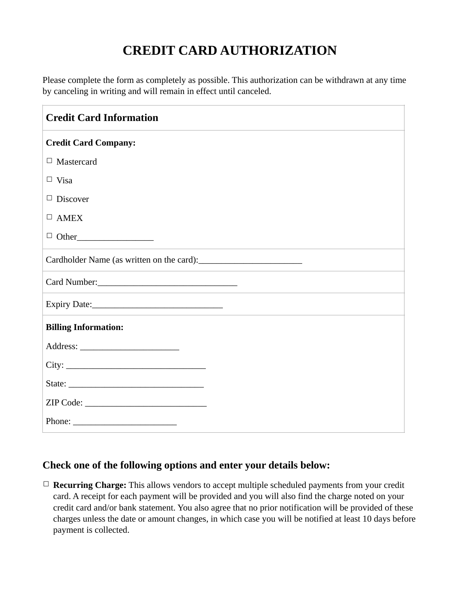## **CREDIT CARD AUTHORIZATION**

Please complete the form as completely as possible. This authorization can be withdrawn at any time by canceling in writing and will remain in effect until canceled.

| <b>Credit Card Information</b>                            |
|-----------------------------------------------------------|
| <b>Credit Card Company:</b>                               |
| $\Box$ Mastercard                                         |
| $\Box$ Visa                                               |
| $\Box$ Discover                                           |
| $\Box$ AMEX                                               |
|                                                           |
|                                                           |
|                                                           |
|                                                           |
| <b>Billing Information:</b>                               |
|                                                           |
| City:                                                     |
|                                                           |
|                                                           |
| Phone: $\frac{1}{\sqrt{1-\frac{1}{2}} \cdot \frac{1}{2}}$ |

## **Check one of the following options and enter your details below:**

☐ **Recurring Charge:** This allows vendors to accept multiple scheduled payments from your credit card. A receipt for each payment will be provided and you will also find the charge noted on your credit card and/or bank statement. You also agree that no prior notification will be provided of these charges unless the date or amount changes, in which case you will be notified at least 10 days before payment is collected.